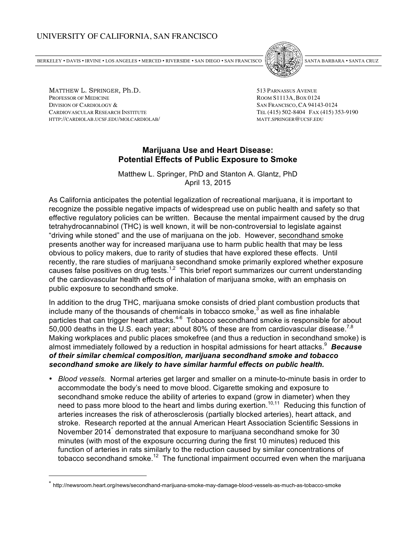## UNIVERSITY OF CALIFORNIA, SAN FRANCISCO

BERKELEY BERKELEY BERKEN ING • ANGELES FLATS FRANCISCO • BANGELES • SAN FRANCISCO • [PALELES]] • SANNI BARBARA • SANNI CRUZ / Z



MATTHEW L. SPRINGER, Ph.D. 513 PARNASSUS AVENUE PROFESSOR OF MEDICINE ROOM S1113A, BOX 0124 DIVISION OF CARDIOLOGY & SAN FRANCISCO, CA 94143-0124 CARDIOVASCULAR RESEARCH INSTITUTE TEL (415) 502-8404 FAX (415) 353-9190 HTTP://CARDIOLAB.UCSF.EDU/MOLCARDIOLAB/ MATT.SPRINGER@UCSF.EDU

 $\overline{a}$ 

## **Marijuana Use and Heart Disease: Potential Effects of Public Exposure to Smoke**

Matthew L. Springer, PhD and Stanton A. Glantz, PhD April 13, 2015

As California anticipates the potential legalization of recreational marijuana, it is important to recognize the possible negative impacts of widespread use on public health and safety so that effective regulatory policies can be written. Because the mental impairment caused by the drug tetrahydrocannabinol (THC) is well known, it will be non-controversial to legislate against "driving while stoned" and the use of marijuana on the job. However, secondhand smoke presents another way for increased marijuana use to harm public health that may be less obvious to policy makers, due to rarity of studies that have explored these effects. Until recently, the rare studies of marijuana secondhand smoke primarily explored whether exposure causes false positives on drug tests.<sup>1,2</sup> This brief report summarizes our current understanding of the cardiovascular health effects of inhalation of marijuana smoke, with an emphasis on public exposure to secondhand smoke.

In addition to the drug THC, marijuana smoke consists of dried plant combustion products that include many of the thousands of chemicals in tobacco smoke, $3$  as well as fine inhalable particles that can trigger heart attacks.<sup>4-6</sup> Tobacco secondhand smoke is responsible for about 50,000 deaths in the U.S. each year; about 80% of these are from cardiovascular disease.<sup>7,8</sup> Making workplaces and public places smokefree (and thus a reduction in secondhand smoke) is almost immediately followed by a reduction in hospital admissions for heart attacks.<sup>9</sup> Because *of their similar chemical composition, marijuana secondhand smoke and tobacco secondhand smoke are likely to have similar harmful effects on public health.*

• *Blood vessels.* Normal arteries get larger and smaller on a minute-to-minute basis in order to accommodate the body's need to move blood. Cigarette smoking and exposure to secondhand smoke reduce the ability of arteries to expand (grow in diameter) when they need to pass more blood to the heart and limbs during exertion.<sup>10,11</sup> Reducing this function of arteries increases the risk of atherosclerosis (partially blocked arteries), heart attack, and stroke. Research reported at the annual American Heart Association Scientific Sessions in November 2014<sup>\*</sup> demonstrated that exposure to marijuana secondhand smoke for 30 minutes (with most of the exposure occurring during the first 10 minutes) reduced this function of arteries in rats similarly to the reduction caused by similar concentrations of tobacco secondhand smoke.<sup>12</sup> The functional impairment occurred even when the marijuana

<sup>\*</sup> http://newsroom.heart.org/news/secondhand-marijuana-smoke-may-damage-blood-vessels-as-much-as-tobacco-smoke